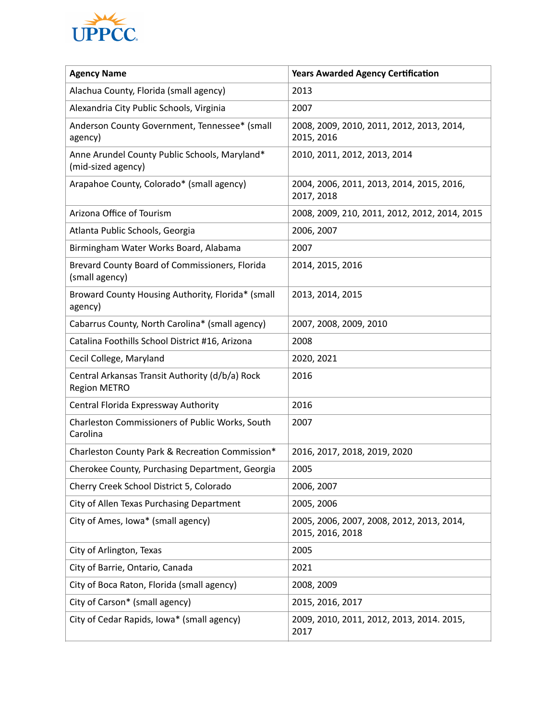

| <b>Agency Name</b>                                                     | <b>Years Awarded Agency Certification</b>                     |
|------------------------------------------------------------------------|---------------------------------------------------------------|
| Alachua County, Florida (small agency)                                 | 2013                                                          |
| Alexandria City Public Schools, Virginia                               | 2007                                                          |
| Anderson County Government, Tennessee* (small<br>agency)               | 2008, 2009, 2010, 2011, 2012, 2013, 2014,<br>2015, 2016       |
| Anne Arundel County Public Schools, Maryland*<br>(mid-sized agency)    | 2010, 2011, 2012, 2013, 2014                                  |
| Arapahoe County, Colorado* (small agency)                              | 2004, 2006, 2011, 2013, 2014, 2015, 2016,<br>2017, 2018       |
| Arizona Office of Tourism                                              | 2008, 2009, 210, 2011, 2012, 2012, 2014, 2015                 |
| Atlanta Public Schools, Georgia                                        | 2006, 2007                                                    |
| Birmingham Water Works Board, Alabama                                  | 2007                                                          |
| Brevard County Board of Commissioners, Florida<br>(small agency)       | 2014, 2015, 2016                                              |
| Broward County Housing Authority, Florida* (small<br>agency)           | 2013, 2014, 2015                                              |
| Cabarrus County, North Carolina* (small agency)                        | 2007, 2008, 2009, 2010                                        |
| Catalina Foothills School District #16, Arizona                        | 2008                                                          |
| Cecil College, Maryland                                                | 2020, 2021                                                    |
| Central Arkansas Transit Authority (d/b/a) Rock<br><b>Region METRO</b> | 2016                                                          |
| Central Florida Expressway Authority                                   | 2016                                                          |
| Charleston Commissioners of Public Works, South<br>Carolina            | 2007                                                          |
| Charleston County Park & Recreation Commission*                        | 2016, 2017, 2018, 2019, 2020                                  |
| Cherokee County, Purchasing Department, Georgia                        | 2005                                                          |
| Cherry Creek School District 5, Colorado                               | 2006, 2007                                                    |
| City of Allen Texas Purchasing Department                              | 2005, 2006                                                    |
| City of Ames, Iowa* (small agency)                                     | 2005, 2006, 2007, 2008, 2012, 2013, 2014,<br>2015, 2016, 2018 |
| City of Arlington, Texas                                               | 2005                                                          |
| City of Barrie, Ontario, Canada                                        | 2021                                                          |
| City of Boca Raton, Florida (small agency)                             | 2008, 2009                                                    |
| City of Carson* (small agency)                                         | 2015, 2016, 2017                                              |
| City of Cedar Rapids, Iowa* (small agency)                             | 2009, 2010, 2011, 2012, 2013, 2014. 2015,<br>2017             |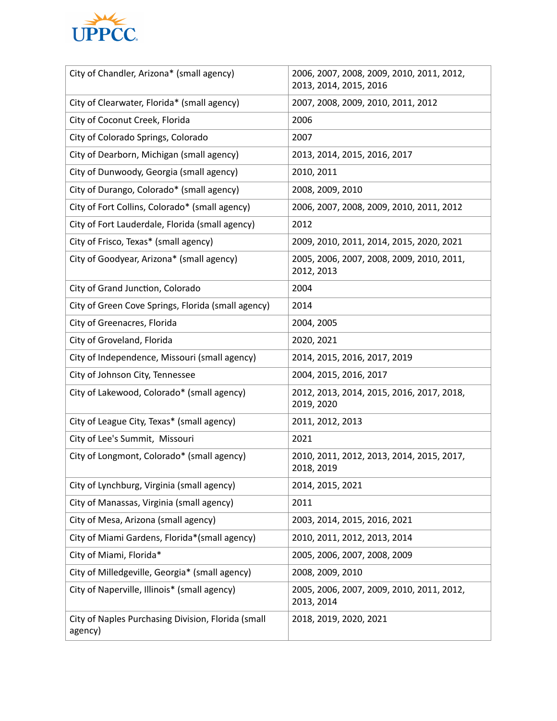

| City of Chandler, Arizona* (small agency)                     | 2006, 2007, 2008, 2009, 2010, 2011, 2012,<br>2013, 2014, 2015, 2016 |
|---------------------------------------------------------------|---------------------------------------------------------------------|
| City of Clearwater, Florida* (small agency)                   | 2007, 2008, 2009, 2010, 2011, 2012                                  |
| City of Coconut Creek, Florida                                | 2006                                                                |
| City of Colorado Springs, Colorado                            | 2007                                                                |
| City of Dearborn, Michigan (small agency)                     | 2013, 2014, 2015, 2016, 2017                                        |
| City of Dunwoody, Georgia (small agency)                      | 2010, 2011                                                          |
| City of Durango, Colorado* (small agency)                     | 2008, 2009, 2010                                                    |
| City of Fort Collins, Colorado* (small agency)                | 2006, 2007, 2008, 2009, 2010, 2011, 2012                            |
| City of Fort Lauderdale, Florida (small agency)               | 2012                                                                |
| City of Frisco, Texas* (small agency)                         | 2009, 2010, 2011, 2014, 2015, 2020, 2021                            |
| City of Goodyear, Arizona* (small agency)                     | 2005, 2006, 2007, 2008, 2009, 2010, 2011,<br>2012, 2013             |
| City of Grand Junction, Colorado                              | 2004                                                                |
| City of Green Cove Springs, Florida (small agency)            | 2014                                                                |
| City of Greenacres, Florida                                   | 2004, 2005                                                          |
| City of Groveland, Florida                                    | 2020, 2021                                                          |
| City of Independence, Missouri (small agency)                 | 2014, 2015, 2016, 2017, 2019                                        |
| City of Johnson City, Tennessee                               | 2004, 2015, 2016, 2017                                              |
| City of Lakewood, Colorado* (small agency)                    | 2012, 2013, 2014, 2015, 2016, 2017, 2018,<br>2019, 2020             |
| City of League City, Texas* (small agency)                    | 2011, 2012, 2013                                                    |
| City of Lee's Summit, Missouri                                | 2021                                                                |
| City of Longmont, Colorado* (small agency)                    | 2010, 2011, 2012, 2013, 2014, 2015, 2017,<br>2018, 2019             |
| City of Lynchburg, Virginia (small agency)                    | 2014, 2015, 2021                                                    |
| City of Manassas, Virginia (small agency)                     | 2011                                                                |
| City of Mesa, Arizona (small agency)                          | 2003, 2014, 2015, 2016, 2021                                        |
| City of Miami Gardens, Florida*(small agency)                 | 2010, 2011, 2012, 2013, 2014                                        |
| City of Miami, Florida*                                       | 2005, 2006, 2007, 2008, 2009                                        |
| City of Milledgeville, Georgia* (small agency)                | 2008, 2009, 2010                                                    |
| City of Naperville, Illinois* (small agency)                  | 2005, 2006, 2007, 2009, 2010, 2011, 2012,<br>2013, 2014             |
| City of Naples Purchasing Division, Florida (small<br>agency) | 2018, 2019, 2020, 2021                                              |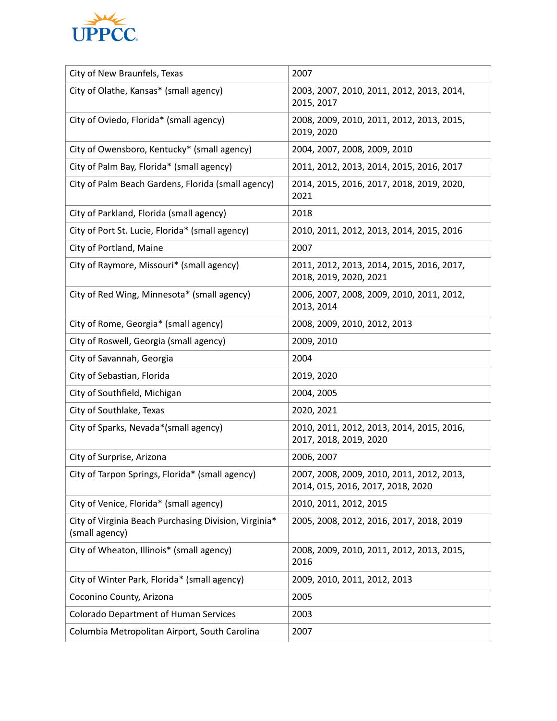

| City of New Braunfels, Texas                                            | 2007                                                                           |
|-------------------------------------------------------------------------|--------------------------------------------------------------------------------|
| City of Olathe, Kansas* (small agency)                                  | 2003, 2007, 2010, 2011, 2012, 2013, 2014,<br>2015, 2017                        |
| City of Oviedo, Florida* (small agency)                                 | 2008, 2009, 2010, 2011, 2012, 2013, 2015,<br>2019, 2020                        |
| City of Owensboro, Kentucky* (small agency)                             | 2004, 2007, 2008, 2009, 2010                                                   |
| City of Palm Bay, Florida* (small agency)                               | 2011, 2012, 2013, 2014, 2015, 2016, 2017                                       |
| City of Palm Beach Gardens, Florida (small agency)                      | 2014, 2015, 2016, 2017, 2018, 2019, 2020,<br>2021                              |
| City of Parkland, Florida (small agency)                                | 2018                                                                           |
| City of Port St. Lucie, Florida* (small agency)                         | 2010, 2011, 2012, 2013, 2014, 2015, 2016                                       |
| City of Portland, Maine                                                 | 2007                                                                           |
| City of Raymore, Missouri* (small agency)                               | 2011, 2012, 2013, 2014, 2015, 2016, 2017,<br>2018, 2019, 2020, 2021            |
| City of Red Wing, Minnesota* (small agency)                             | 2006, 2007, 2008, 2009, 2010, 2011, 2012,<br>2013, 2014                        |
| City of Rome, Georgia* (small agency)                                   | 2008, 2009, 2010, 2012, 2013                                                   |
| City of Roswell, Georgia (small agency)                                 | 2009, 2010                                                                     |
| City of Savannah, Georgia                                               | 2004                                                                           |
| City of Sebastian, Florida                                              | 2019, 2020                                                                     |
| City of Southfield, Michigan                                            | 2004, 2005                                                                     |
| City of Southlake, Texas                                                | 2020, 2021                                                                     |
| City of Sparks, Nevada*(small agency)                                   | 2010, 2011, 2012, 2013, 2014, 2015, 2016,<br>2017, 2018, 2019, 2020            |
| City of Surprise, Arizona                                               | 2006, 2007                                                                     |
| City of Tarpon Springs, Florida* (small agency)                         | 2007, 2008, 2009, 2010, 2011, 2012, 2013,<br>2014, 015, 2016, 2017, 2018, 2020 |
| City of Venice, Florida* (small agency)                                 | 2010, 2011, 2012, 2015                                                         |
| City of Virginia Beach Purchasing Division, Virginia*<br>(small agency) | 2005, 2008, 2012, 2016, 2017, 2018, 2019                                       |
| City of Wheaton, Illinois* (small agency)                               | 2008, 2009, 2010, 2011, 2012, 2013, 2015,<br>2016                              |
| City of Winter Park, Florida* (small agency)                            | 2009, 2010, 2011, 2012, 2013                                                   |
| Coconino County, Arizona                                                | 2005                                                                           |
| <b>Colorado Department of Human Services</b>                            | 2003                                                                           |
| Columbia Metropolitan Airport, South Carolina                           | 2007                                                                           |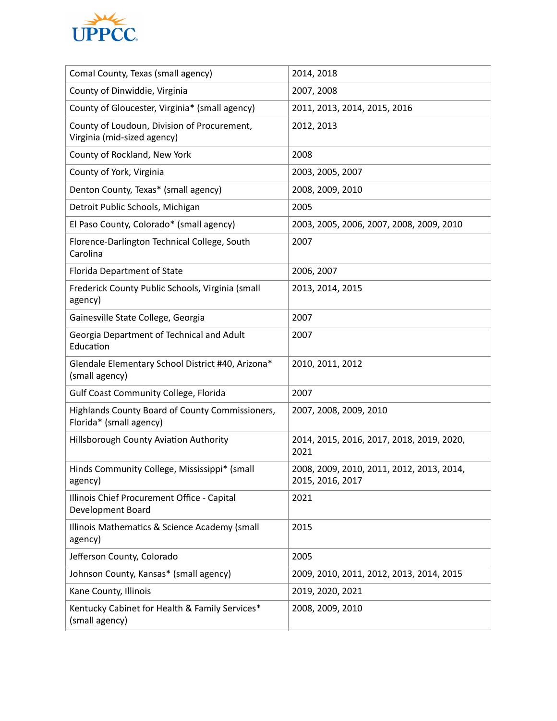

| Comal County, Texas (small agency)                                         | 2014, 2018                                                    |
|----------------------------------------------------------------------------|---------------------------------------------------------------|
| County of Dinwiddie, Virginia                                              | 2007, 2008                                                    |
| County of Gloucester, Virginia* (small agency)                             | 2011, 2013, 2014, 2015, 2016                                  |
| County of Loudoun, Division of Procurement,<br>Virginia (mid-sized agency) | 2012, 2013                                                    |
| County of Rockland, New York                                               | 2008                                                          |
| County of York, Virginia                                                   | 2003, 2005, 2007                                              |
| Denton County, Texas* (small agency)                                       | 2008, 2009, 2010                                              |
| Detroit Public Schools, Michigan                                           | 2005                                                          |
| El Paso County, Colorado* (small agency)                                   | 2003, 2005, 2006, 2007, 2008, 2009, 2010                      |
| Florence-Darlington Technical College, South<br>Carolina                   | 2007                                                          |
| Florida Department of State                                                | 2006, 2007                                                    |
| Frederick County Public Schools, Virginia (small<br>agency)                | 2013, 2014, 2015                                              |
| Gainesville State College, Georgia                                         | 2007                                                          |
| Georgia Department of Technical and Adult<br>Education                     | 2007                                                          |
| Glendale Elementary School District #40, Arizona*<br>(small agency)        | 2010, 2011, 2012                                              |
| <b>Gulf Coast Community College, Florida</b>                               | 2007                                                          |
| Highlands County Board of County Commissioners,<br>Florida* (small agency) | 2007, 2008, 2009, 2010                                        |
| Hillsborough County Aviation Authority                                     | 2014, 2015, 2016, 2017, 2018, 2019, 2020,<br>2021             |
| Hinds Community College, Mississippi* (small<br>agency)                    | 2008, 2009, 2010, 2011, 2012, 2013, 2014,<br>2015, 2016, 2017 |
| Illinois Chief Procurement Office - Capital<br>Development Board           | 2021                                                          |
| Illinois Mathematics & Science Academy (small<br>agency)                   | 2015                                                          |
| Jefferson County, Colorado                                                 | 2005                                                          |
| Johnson County, Kansas* (small agency)                                     | 2009, 2010, 2011, 2012, 2013, 2014, 2015                      |
| Kane County, Illinois                                                      | 2019, 2020, 2021                                              |
| Kentucky Cabinet for Health & Family Services*<br>(small agency)           | 2008, 2009, 2010                                              |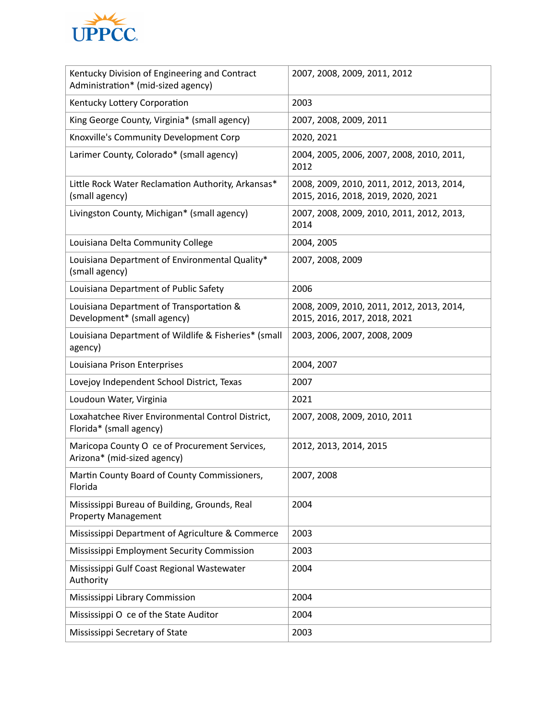

| Kentucky Division of Engineering and Contract<br>Administration* (mid-sized agency) | 2007, 2008, 2009, 2011, 2012                                                    |
|-------------------------------------------------------------------------------------|---------------------------------------------------------------------------------|
| Kentucky Lottery Corporation                                                        | 2003                                                                            |
| King George County, Virginia* (small agency)                                        | 2007, 2008, 2009, 2011                                                          |
| Knoxville's Community Development Corp                                              | 2020, 2021                                                                      |
| Larimer County, Colorado* (small agency)                                            | 2004, 2005, 2006, 2007, 2008, 2010, 2011,<br>2012                               |
| Little Rock Water Reclamation Authority, Arkansas*<br>(small agency)                | 2008, 2009, 2010, 2011, 2012, 2013, 2014,<br>2015, 2016, 2018, 2019, 2020, 2021 |
| Livingston County, Michigan* (small agency)                                         | 2007, 2008, 2009, 2010, 2011, 2012, 2013,<br>2014                               |
| Louisiana Delta Community College                                                   | 2004, 2005                                                                      |
| Louisiana Department of Environmental Quality*<br>(small agency)                    | 2007, 2008, 2009                                                                |
| Louisiana Department of Public Safety                                               | 2006                                                                            |
| Louisiana Department of Transportation &<br>Development* (small agency)             | 2008, 2009, 2010, 2011, 2012, 2013, 2014,<br>2015, 2016, 2017, 2018, 2021       |
| Louisiana Department of Wildlife & Fisheries* (small<br>agency)                     | 2003, 2006, 2007, 2008, 2009                                                    |
| Louisiana Prison Enterprises                                                        | 2004, 2007                                                                      |
| Lovejoy Independent School District, Texas                                          | 2007                                                                            |
| Loudoun Water, Virginia                                                             | 2021                                                                            |
| Loxahatchee River Environmental Control District,<br>Florida* (small agency)        | 2007, 2008, 2009, 2010, 2011                                                    |
| Maricopa County O ce of Procurement Services,<br>Arizona* (mid-sized agency)        | 2012, 2013, 2014, 2015                                                          |
| Martin County Board of County Commissioners,<br>Florida                             | 2007, 2008                                                                      |
| Mississippi Bureau of Building, Grounds, Real<br><b>Property Management</b>         | 2004                                                                            |
| Mississippi Department of Agriculture & Commerce                                    | 2003                                                                            |
| Mississippi Employment Security Commission                                          | 2003                                                                            |
| Mississippi Gulf Coast Regional Wastewater<br>Authority                             | 2004                                                                            |
| Mississippi Library Commission                                                      | 2004                                                                            |
| Mississippi O ce of the State Auditor                                               | 2004                                                                            |
| Mississippi Secretary of State                                                      | 2003                                                                            |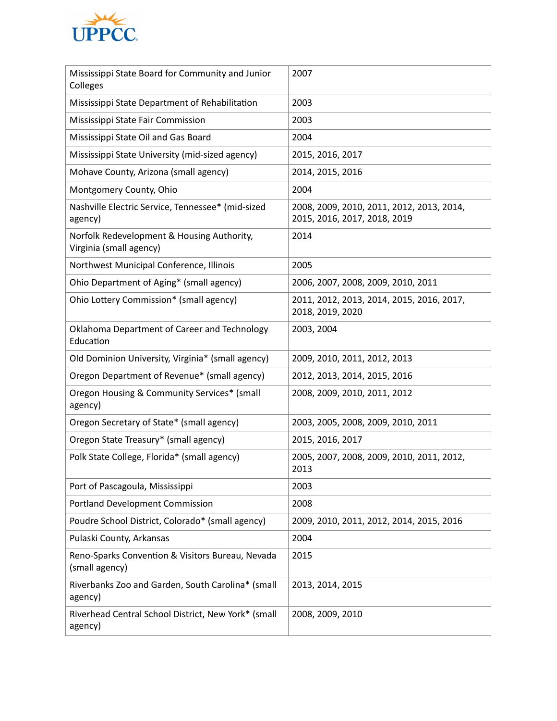

| Mississippi State Board for Community and Junior<br>Colleges          | 2007                                                                      |
|-----------------------------------------------------------------------|---------------------------------------------------------------------------|
| Mississippi State Department of Rehabilitation                        | 2003                                                                      |
| Mississippi State Fair Commission                                     | 2003                                                                      |
| Mississippi State Oil and Gas Board                                   | 2004                                                                      |
| Mississippi State University (mid-sized agency)                       | 2015, 2016, 2017                                                          |
| Mohave County, Arizona (small agency)                                 | 2014, 2015, 2016                                                          |
| Montgomery County, Ohio                                               | 2004                                                                      |
| Nashville Electric Service, Tennessee* (mid-sized<br>agency)          | 2008, 2009, 2010, 2011, 2012, 2013, 2014,<br>2015, 2016, 2017, 2018, 2019 |
| Norfolk Redevelopment & Housing Authority,<br>Virginia (small agency) | 2014                                                                      |
| Northwest Municipal Conference, Illinois                              | 2005                                                                      |
| Ohio Department of Aging* (small agency)                              | 2006, 2007, 2008, 2009, 2010, 2011                                        |
| Ohio Lottery Commission* (small agency)                               | 2011, 2012, 2013, 2014, 2015, 2016, 2017,<br>2018, 2019, 2020             |
| Oklahoma Department of Career and Technology<br>Education             | 2003, 2004                                                                |
| Old Dominion University, Virginia* (small agency)                     | 2009, 2010, 2011, 2012, 2013                                              |
| Oregon Department of Revenue* (small agency)                          | 2012, 2013, 2014, 2015, 2016                                              |
| Oregon Housing & Community Services* (small<br>agency)                | 2008, 2009, 2010, 2011, 2012                                              |
| Oregon Secretary of State* (small agency)                             | 2003, 2005, 2008, 2009, 2010, 2011                                        |
| Oregon State Treasury* (small agency)                                 | 2015, 2016, 2017                                                          |
| Polk State College, Florida* (small agency)                           | 2005, 2007, 2008, 2009, 2010, 2011, 2012,<br>2013                         |
| Port of Pascagoula, Mississippi                                       | 2003                                                                      |
| <b>Portland Development Commission</b>                                | 2008                                                                      |
| Poudre School District, Colorado* (small agency)                      | 2009, 2010, 2011, 2012, 2014, 2015, 2016                                  |
| Pulaski County, Arkansas                                              | 2004                                                                      |
| Reno-Sparks Convention & Visitors Bureau, Nevada<br>(small agency)    | 2015                                                                      |
| Riverbanks Zoo and Garden, South Carolina* (small<br>agency)          | 2013, 2014, 2015                                                          |
| Riverhead Central School District, New York* (small<br>agency)        | 2008, 2009, 2010                                                          |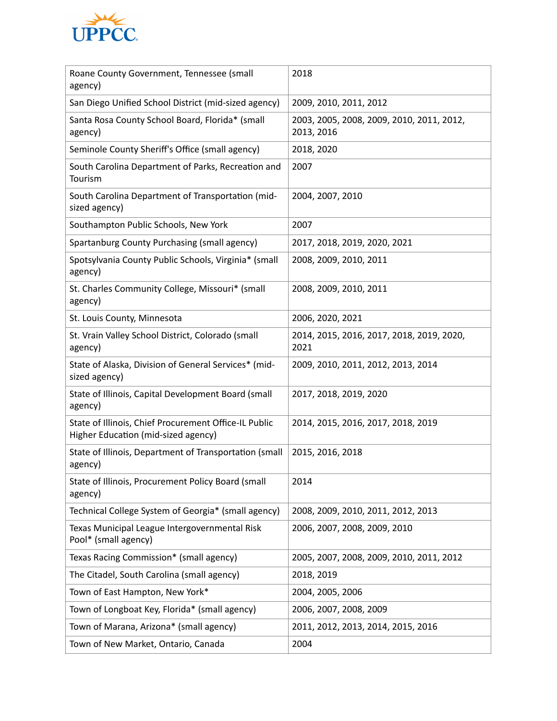

| Roane County Government, Tennessee (small<br>agency)                                         | 2018                                                    |
|----------------------------------------------------------------------------------------------|---------------------------------------------------------|
| San Diego Unified School District (mid-sized agency)                                         | 2009, 2010, 2011, 2012                                  |
| Santa Rosa County School Board, Florida* (small<br>agency)                                   | 2003, 2005, 2008, 2009, 2010, 2011, 2012,<br>2013, 2016 |
| Seminole County Sheriff's Office (small agency)                                              | 2018, 2020                                              |
| South Carolina Department of Parks, Recreation and<br>Tourism                                | 2007                                                    |
| South Carolina Department of Transportation (mid-<br>sized agency)                           | 2004, 2007, 2010                                        |
| Southampton Public Schools, New York                                                         | 2007                                                    |
| Spartanburg County Purchasing (small agency)                                                 | 2017, 2018, 2019, 2020, 2021                            |
| Spotsylvania County Public Schools, Virginia* (small<br>agency)                              | 2008, 2009, 2010, 2011                                  |
| St. Charles Community College, Missouri* (small<br>agency)                                   | 2008, 2009, 2010, 2011                                  |
| St. Louis County, Minnesota                                                                  | 2006, 2020, 2021                                        |
| St. Vrain Valley School District, Colorado (small<br>agency)                                 | 2014, 2015, 2016, 2017, 2018, 2019, 2020,<br>2021       |
| State of Alaska, Division of General Services* (mid-<br>sized agency)                        | 2009, 2010, 2011, 2012, 2013, 2014                      |
| State of Illinois, Capital Development Board (small<br>agency)                               | 2017, 2018, 2019, 2020                                  |
| State of Illinois, Chief Procurement Office-IL Public<br>Higher Education (mid-sized agency) | 2014, 2015, 2016, 2017, 2018, 2019                      |
| State of Illinois, Department of Transportation (small<br>agency)                            | 2015, 2016, 2018                                        |
| State of Illinois, Procurement Policy Board (small<br>agency)                                | 2014                                                    |
| Technical College System of Georgia* (small agency)                                          | 2008, 2009, 2010, 2011, 2012, 2013                      |
| Texas Municipal League Intergovernmental Risk<br>Pool* (small agency)                        | 2006, 2007, 2008, 2009, 2010                            |
| Texas Racing Commission* (small agency)                                                      | 2005, 2007, 2008, 2009, 2010, 2011, 2012                |
| The Citadel, South Carolina (small agency)                                                   | 2018, 2019                                              |
| Town of East Hampton, New York*                                                              | 2004, 2005, 2006                                        |
| Town of Longboat Key, Florida* (small agency)                                                | 2006, 2007, 2008, 2009                                  |
| Town of Marana, Arizona* (small agency)                                                      | 2011, 2012, 2013, 2014, 2015, 2016                      |
| Town of New Market, Ontario, Canada                                                          | 2004                                                    |